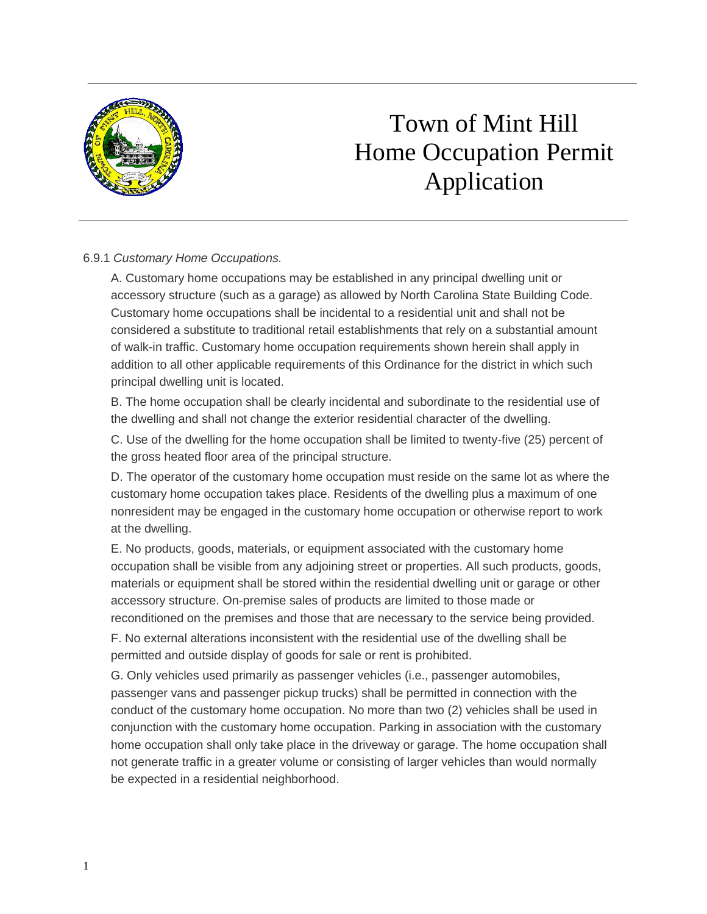

## Town of Mint Hill Home Occupation Permit Application

## 6.9.1 *Customary Home Occupations.*

A. Customary home occupations may be established in any principal dwelling unit or accessory structure (such as a garage) as allowed by North Carolina State Building Code. Customary home occupations shall be incidental to a residential unit and shall not be considered a substitute to traditional retail establishments that rely on a substantial amount of walk-in traffic. Customary home occupation requirements shown herein shall apply in addition to all other applicable requirements of this Ordinance for the district in which such principal dwelling unit is located.

B. The home occupation shall be clearly incidental and subordinate to the residential use of the dwelling and shall not change the exterior residential character of the dwelling.

C. Use of the dwelling for the home occupation shall be limited to twenty-five (25) percent of the gross heated floor area of the principal structure.

D. The operator of the customary home occupation must reside on the same lot as where the customary home occupation takes place. Residents of the dwelling plus a maximum of one nonresident may be engaged in the customary home occupation or otherwise report to work at the dwelling.

E. No products, goods, materials, or equipment associated with the customary home occupation shall be visible from any adjoining street or properties. All such products, goods, materials or equipment shall be stored within the residential dwelling unit or garage or other accessory structure. On-premise sales of products are limited to those made or reconditioned on the premises and those that are necessary to the service being provided.

F. No external alterations inconsistent with the residential use of the dwelling shall be permitted and outside display of goods for sale or rent is prohibited.

G. Only vehicles used primarily as passenger vehicles (i.e., passenger automobiles, passenger vans and passenger pickup trucks) shall be permitted in connection with the conduct of the customary home occupation. No more than two (2) vehicles shall be used in conjunction with the customary home occupation. Parking in association with the customary home occupation shall only take place in the driveway or garage. The home occupation shall not generate traffic in a greater volume or consisting of larger vehicles than would normally be expected in a residential neighborhood.